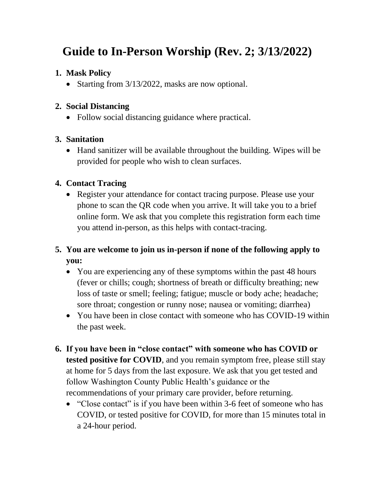# **[Guide to In-Person Worship](https://drive.google.com/file/d/1111q58FlLBPRtJU81LdGZyIWeIWV3aYD/view?usp=sharing) (Rev. 2; 3/13/2022)**

#### **1. Mask Policy**

• Starting from 3/13/2022, masks are now optional.

#### **2. Social Distancing**

• Follow social distancing guidance where practical.

## **3. Sanitation**

• Hand sanitizer will be available throughout the building. Wipes will be provided for people who wish to clean surfaces.

## **4. Contact Tracing**

• Register your attendance for contact tracing purpose. Please use your phone to scan the QR code when you arrive. It will take you to a brief online form. We ask that you complete this registration form each time you attend in-person, as this helps with contact-tracing.

# **5. You are welcome to join us in-person if none of the following apply to you:**

- You are experiencing any of these symptoms within the past 48 hours (fever or chills; cough; shortness of breath or difficulty breathing; new loss of taste or smell; feeling; fatigue; muscle or body ache; headache; sore throat; congestion or runny nose; nausea or vomiting; diarrhea)
- You have been in close contact with someone who has COVID-19 within the past week.
- **6. If you have been in "close contact" with someone who has COVID or tested positive for COVID**, and you remain symptom free, please still stay at home for 5 days from the last exposure. We ask that you get tested and follow Washington County Public Health's guidance or the recommendations of your primary care provider, before returning.
	- "Close contact" is if you have been within 3-6 feet of someone who has COVID, or tested positive for COVID, for more than 15 minutes total in a 24-hour period.